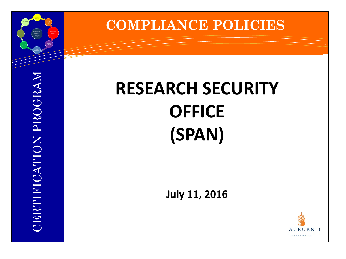

#### **COMPLIANCE POLICIES**

# **RESEARCH SECURITY OFFICE (SPAN)**

**July 11, 2016**

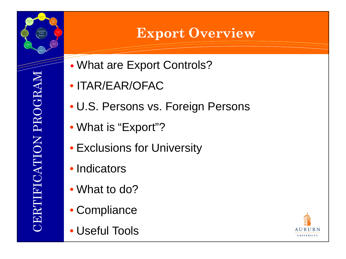#### **Export Overview**

- What are Export Controls?
- ITAR/EAR/OFAC
- U.S. Persons vs. Foreign Persons
- What is "Export"?
- Exclusions for University
- Indicators
- What to do?
- Compliance
- Useful Tools

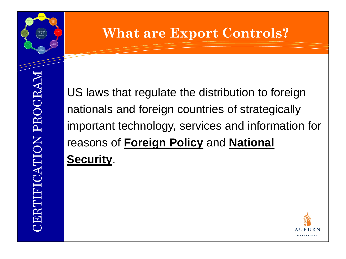## **What are Export Controls?**

US laws that regulate the distribution to foreign nationals and foreign countries of strategically important technology, services and information for reasons of **Foreign Policy** and **National Security**.

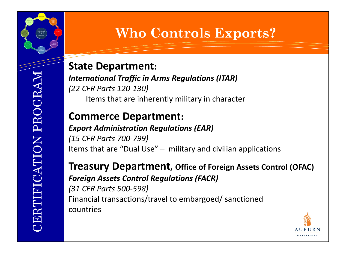#### **State Department:**

*International Traffic in Arms Regulations (ITAR) (22 CFR Parts 120-130)* Items that are inherently military in character

#### **Commerce Department:**

#### *Export Administration Regulations (EAR)*

*(15 CFR Parts 700-799)* Items that are "Dual Use" – military and civilian applications

**Treasury Department, Office of Foreign Assets Control (OFAC)** *Foreign Assets Control Regulations (FACR) (31 CFR Parts 500-598)* Financial transactions/travel to embargoed/ sanctioned

**Who Controls Exports?** 

countries

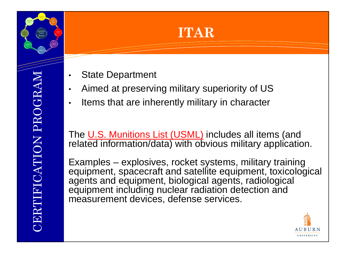#### **ITAR**

- State Department
- Aimed at preserving military superiority of US
- Items that are inherently military in character

The U.S. Munitions List (USML) includes all items (and related information/data) with obvious military application.

Examples – explosives, rocket systems, military training equipment, spacecraft and satellite equipment, toxicological agents and equipment, biological agents, radiological equipment including nuclear radiation detection and measurement devices, defense services.



CERTIFICATION PROGRAM **ERTIFICATION PROGRAM**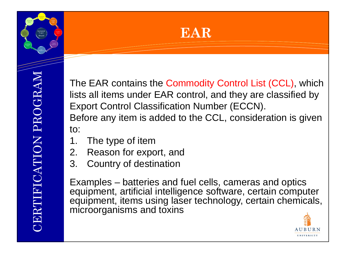



The EAR contains the Commodity Control List (CCL), which lists all items under EAR control, and they are classified by Export Control Classification Number (ECCN). Before any item is added to the CCL, consideration is given to:

- 1. The type of item
- 2. Reason for export, and
- 3. Country of destination

Examples – batteries and fuel cells, cameras and optics equipment, artificial intelligence software, certain computer equipment, items using laser technology, certain chemicals, microorganisms and toxins

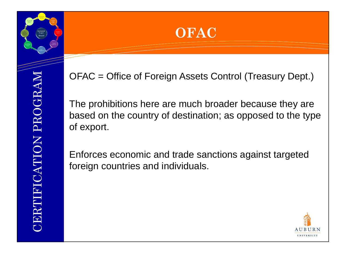

OFAC = Office of Foreign Assets Control (Treasury Dept.)

The prohibitions here are much broader because they are based on the country of destination; as opposed to the type of export.

Enforces economic and trade sanctions against targeted foreign countries and individuals.

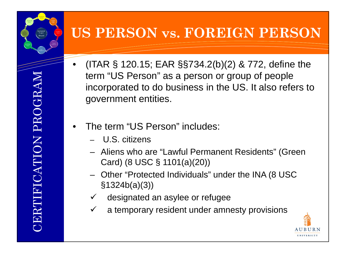#### **US PERSON vs. FOREIGN PERSON**

- (ITAR § 120.15; EAR §§734.2(b)(2) & 772, define the term "US Person" as a person or group of people incorporated to do business in the US. It also refers to government entities.
- The term "US Person" includes:
	- U.S. citizens
	- Aliens who are "Lawful Permanent Residents" (Green Card) (8 USC § 1101(a)(20))
	- Other "Protected Individuals" under the INA (8 USC §1324b(a)(3))
	- designated an asylee or refugee
	- $\checkmark$  a temporary resident under amnesty provisions

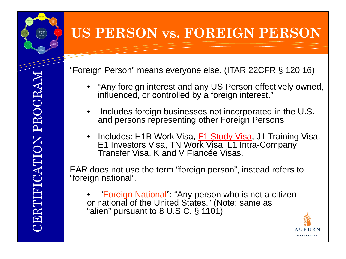## **US PERSON vs. FOREIGN PERSON**

"Foreign Person" means everyone else. (ITAR 22CFR § 120.16)

- "Any foreign interest and any US Person effectively owned, influenced, or controlled by a foreign interest."
- Includes foreign businesses not incorporated in the U.S. and persons representing other Foreign Persons
- Includes: H1B Work Visa, **F1 Study Visa**, J1 Training Visa, E1 Investors Visa, TN Work Visa, L1 Intra-Company Transfer Visa, K and V Fiancée Visas.

EAR does not use the term "foreign person", instead refers to "foreign national".

• "Foreign National": "Any person who is not a citizen or national of the United States." (Note: same as "alien" pursuant to 8 U.S.C. § 1101)

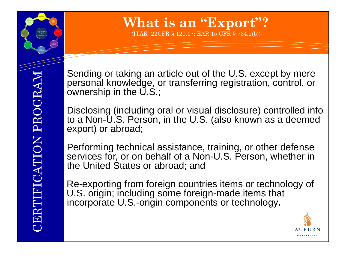## **What is an "Export"?**

(ITAR 22CFR § 120.17; EAR 15 CFR § 734.2(b))

Sending or taking an article out of the U.S. except by mere personal knowledge, or transferring registration, control, or ownership in the  $\overline{U}.S$ ;

Disclosing (including oral or visual disclosure) controlled info to a Non-U.S. Person, in the U.S. (also known as a deemed export) or abroad;

Performing technical assistance, training, or other defense services for, or on behalf of a Non-U.S. Person, whether in the United States or abroad; and

Re-exporting from foreign countries items or technology of U.S. origin; including some foreign-made items that incorporate U.S.-origin components or technology**.**

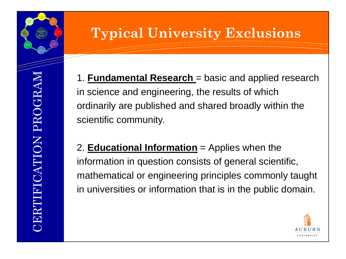## **Typical University Exclusions**

1. **Fundamental Research** = basic and applied research in science and engineering, the results of which ordinarily are published and shared broadly within the scientific community.

2. **Educational Information** = Applies when the information in question consists of general scientific, mathematical or engineering principles commonly taught in universities or information that is in the public domain.

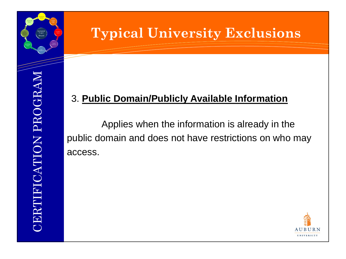#### **Typical University Exclusions**

#### 3. **Public Domain/Publicly Available Information**

Applies when the information is already in the public domain and does not have restrictions on who may access.

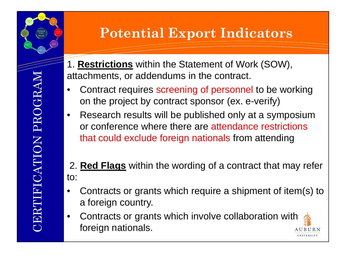#### **Potential Export Indicators**

- 1. **Restrictions** within the Statement of Work (SOW), attachments, or addendums in the contract.
- Contract requires screening of personnel to be working on the project by contract sponsor (ex. e-verify)
- Research results will be published only at a symposium or conference where there are attendance restrictions that could exclude foreign nationals from attending
- 2. **Red Flags** within the wording of a contract that may refer to:
- Contracts or grants which require a shipment of item(s) to a foreign country.
- Contracts or grants which involve collaboration with foreign nationals.A U B U R N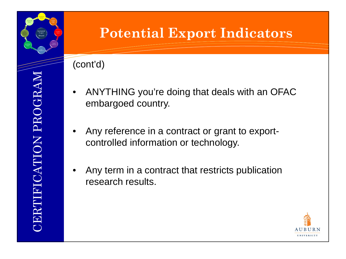#### (cont'd)

• ANYTHING you're doing that deals with an OFAC embargoed country.

**Potential Export Indicators**

- Any reference in a contract or grant to exportcontrolled information or technology.
- Any term in a contract that restricts publication research results.

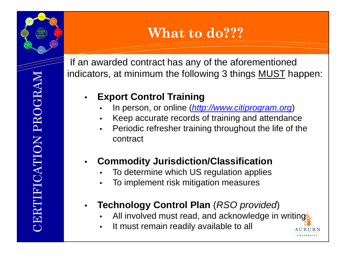## **What to do???**

If an awarded contract has any of the aforementioned indicators, at minimum the following 3 things MUST happen:

#### • **Export Control Training**

- In person, or online (*[http://www.citiprogram.org](http://www.citiprogram.org/)*)
- Keep accurate records of training and attendance
- Periodic refresher training throughout the life of the contract

#### • **Commodity Jurisdiction/Classification**

- To determine which US regulation applies
- To implement risk mitigation measures

#### • **Technology Control Plan** (*RSO provided*)

All involved must read, and acknowledge in writing

AUBURN **HNIVERSITY** 

It must remain readily available to all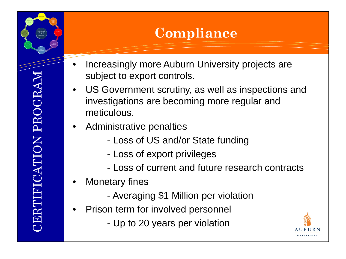## **Compliance**

- Increasingly more Auburn University projects are subject to export controls.
- US Government scrutiny, as well as inspections and investigations are becoming more regular and meticulous.
- Administrative penalties
	- Loss of US and/or State funding
	- Loss of export privileges
	- Loss of current and future research contracts
- **Monetary fines** 
	- Averaging \$1 Million per violation
- Prison term for involved personnel
	- Up to 20 years per violation

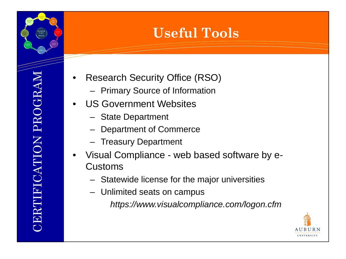## **Useful Tools**

- Research Security Office (RSO)
	- Primary Source of Information
- US Government Websites
	- State Department
	- Department of Commerce
	- Treasury Department
- Visual Compliance web based software by e-Customs
	- Statewide license for the major universities
	- Unlimited seats on campus

*https://www.visualcompliance.com/logon.cfm*

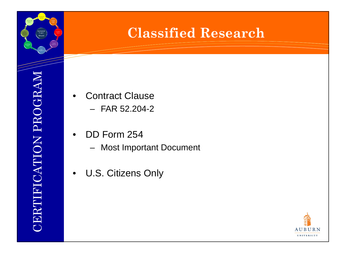#### **Classified Research**

- **Contract Clause** 
	- $-$  FAR 52.204-2
- DD Form 254
	- Most Important Document
- U.S. Citizens Only

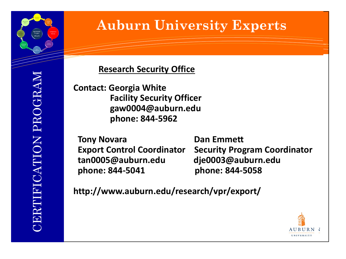

## **Auburn University Experts**

#### **Research Security Office**

**Contact: Georgia White Facility Security Officer gaw0004@auburn.edu phone: 844-5962**

**Tony Novara Dan Emmett tan0005@auburn.edu dje0003@auburn.edu phone: 844-5041 phone: 844-5058**

**Export Control Coordinator Security Program Coordinator**

**http://www.auburn.edu/research/vpr/export/**

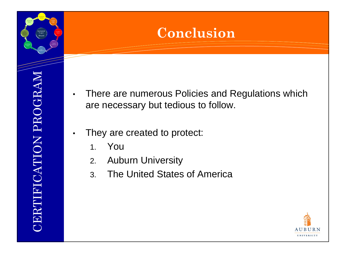#### **Conclusion**

- There are numerous Policies and Regulations which are necessary but tedious to follow.
- They are created to protect:
	- 1. You
	- 2. Auburn University
	- 3. The United States of America